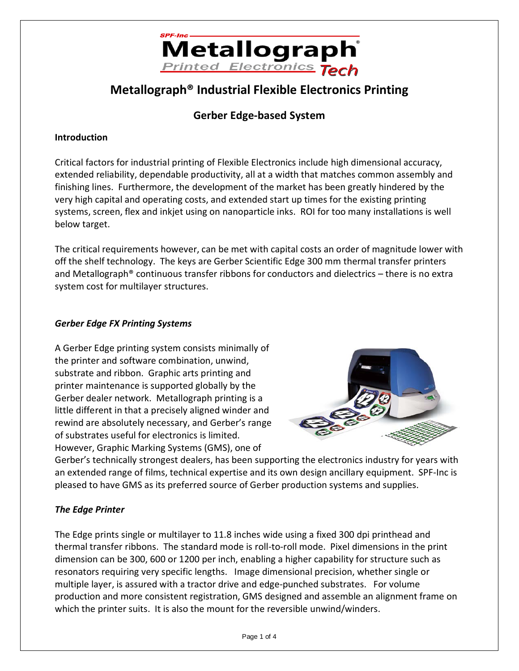

## **Metallograph® Industrial Flexible Electronics Printing**

### **Gerber Edge-based System**

### **Introduction**

Critical factors for industrial printing of Flexible Electronics include high dimensional accuracy, extended reliability, dependable productivity, all at a width that matches common assembly and finishing lines. Furthermore, the development of the market has been greatly hindered by the very high capital and operating costs, and extended start up times for the existing printing systems, screen, flex and inkjet using on nanoparticle inks. ROI for too many installations is well below target.

The critical requirements however, can be met with capital costs an order of magnitude lower with off the shelf technology. The keys are Gerber Scientific Edge 300 mm thermal transfer printers and Metallograph® continuous transfer ribbons for conductors and dielectrics – there is no extra system cost for multilayer structures.

### *Gerber Edge FX Printing Systems*

A Gerber Edge printing system consists minimally of the printer and software combination, unwind, substrate and ribbon. Graphic arts printing and printer maintenance is supported globally by the Gerber dealer network. Metallograph printing is a little different in that a precisely aligned winder and rewind are absolutely necessary, and Gerber's range of substrates useful for electronics is limited. However, Graphic Marking Systems (GMS), one of



Gerber's technically strongest dealers, has been supporting the electronics industry for years with an extended range of films, technical expertise and its own design ancillary equipment. SPF-Inc is pleased to have GMS as its preferred source of Gerber production systems and supplies.

### *The Edge Printer*

The Edge prints single or multilayer to 11.8 inches wide using a fixed 300 dpi printhead and thermal transfer ribbons. The standard mode is roll-to-roll mode. Pixel dimensions in the print dimension can be 300, 600 or 1200 per inch, enabling a higher capability for structure such as resonators requiring very specific lengths. Image dimensional precision, whether single or multiple layer, is assured with a tractor drive and edge-punched substrates. For volume production and more consistent registration, GMS designed and assemble an alignment frame on which the printer suits. It is also the mount for the reversible unwind/winders.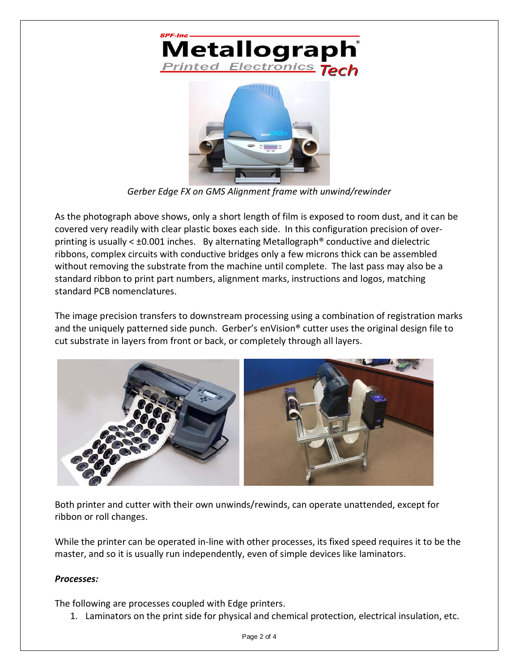



*Gerber Edge FX on GMS Alignment frame with unwind/rewinder*

As the photograph above shows, only a short length of film is exposed to room dust, and it can be covered very readily with clear plastic boxes each side. In this configuration precision of overprinting is usually  $\lt$  ±0.001 inches. By alternating Metallograph® conductive and dielectric ribbons, complex circuits with conductive bridges only a few microns thick can be assembled without removing the substrate from the machine until complete. The last pass may also be a standard ribbon to print part numbers, alignment marks, instructions and logos, matching standard PCB nomenclatures.

The image precision transfers to downstream processing using a combination of registration marks and the uniquely patterned side punch. Gerber's enVision<sup>®</sup> cutter uses the original design file to cut substrate in layers from front or back, or completely through all layers.



Both printer and cutter with their own unwinds/rewinds, can operate unattended, except for ribbon or roll changes.

While the printer can be operated in-line with other processes, its fixed speed requires it to be the master, and so it is usually run independently, even of simple devices like laminators.

### *Processes:*

The following are processes coupled with Edge printers.

1. Laminators on the print side for physical and chemical protection, electrical insulation, etc.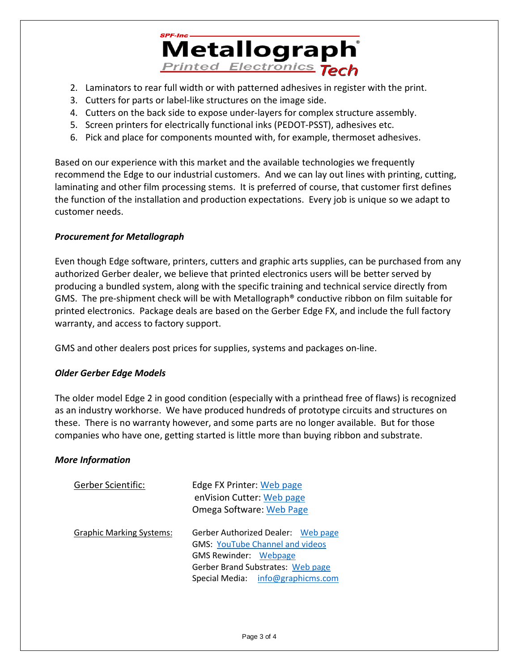

- 2. Laminators to rear full width or with patterned adhesives in register with the print.
- 3. Cutters for parts or label-like structures on the image side.
- 4. Cutters on the back side to expose under-layers for complex structure assembly.
- 5. Screen printers for electrically functional inks (PEDOT-PSST), adhesives etc.
- 6. Pick and place for components mounted with, for example, thermoset adhesives.

Based on our experience with this market and the available technologies we frequently recommend the Edge to our industrial customers. And we can lay out lines with printing, cutting, laminating and other film processing stems. It is preferred of course, that customer first defines the function of the installation and production expectations. Every job is unique so we adapt to customer needs.

### *Procurement for Metallograph*

Even though Edge software, printers, cutters and graphic arts supplies, can be purchased from any authorized Gerber dealer, we believe that printed electronics users will be better served by producing a bundled system, along with the specific training and technical service directly from GMS. The pre-shipment check will be with Metallograph® conductive ribbon on film suitable for printed electronics. Package deals are based on the Gerber Edge FX, and include the full factory warranty, and access to factory support.

GMS and other dealers post prices for supplies, systems and packages on-line.

### *Older Gerber Edge Models*

The older model Edge 2 in good condition (especially with a printhead free of flaws) is recognized as an industry workhorse. We have produced hundreds of prototype circuits and structures on these. There is no warranty however, and some parts are no longer available. But for those companies who have one, getting started is little more than buying ribbon and substrate.

### *More Information*

| <b>Gerber Scientific:</b>       | Edge FX Printer: Web page<br>enVision Cutter: Web page<br><b>Omega Software: Web Page</b>                                                                                              |
|---------------------------------|----------------------------------------------------------------------------------------------------------------------------------------------------------------------------------------|
| <b>Graphic Marking Systems:</b> | Gerber Authorized Dealer: Web page<br><b>GMS: YouTube Channel and videos</b><br><b>GMS Rewinder: Webpage</b><br>Gerber Brand Substrates: Web page<br>Special Media: info@graphicms.com |